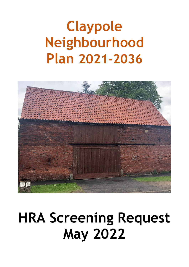# **Claypole Neighbourhood Plan 2021-2036**



# **HRA Screening Request May 2022**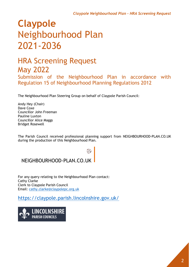# **Claypole** Neighbourhood Plan 2021-2036

### HRA Screening Request May 2022

Submission of the Neighbourhood Plan in accordance with Regulation 15 of Neighbourhood Planning Regulations 2012

The Neighbourhood Plan Steering Group on behalf of Claypole Parish Council:

Andy Hey (Chair) Dave Coxe Councillor John Freeman Pauline Luxton Councillor Alice Maggs Bridget Rosewell

The Parish Council received professional planning support from NEIGHBOURHOOD-PLAN.CO.UK during the production of this Neighbourhood Plan.

### NEIGHBOURHOOD-PLAN.CO.UK

For any query relating to the Neighbourhood Plan contact: Cathy Clarke Clerk to Claypole Parish Council Email: [cathy.clarke@claypolepc.org.uk](mailto:cathy.clarke@claypolepc.org.uk)

<https://claypole.parish.lincolnshire.gov.uk/>

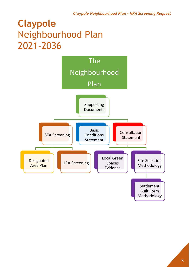# **Claypole** Neighbourhood Plan 2021-2036

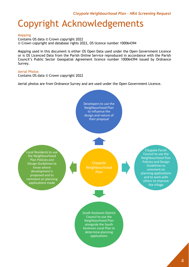### Copyright Acknowledgements

#### Mapping

Contains OS data © Crown copyright 2022 © Crown copyright and database rights 2022, OS licence number 100064394

Mapping used in this document is either OS Open Data used under the Open Government Licence or is OS Licenced Data from the Parish Online Service reproduced in accordance with the Parish Council's Public Sector Geospatial Agreement licence number 100064394 issued by Ordnance Survey.

#### Aerial Photos

Contains OS data © Crown copyright 2022

Aerial photos are from Ordnance Survey and are used under the Open Government Licence.

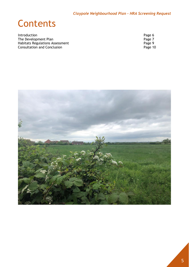### **Contents**

Introduction Page 6<br>
The Development Plan Page 7 The Development Plan<br>
Habitats Regulations Assessment<br>
Consultation and Conclusion<br>
Page 10 Habitats Regulations Assessment **Page 9** Consultation and Conclusion **Page 10** 

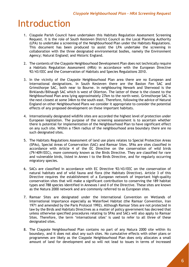### Introduction

- 1. Claypole Parish Council have undertaken this Habitats Regulation Assessment Screening Request. It is the role of South Kesteven District Council as the Local Planning Authority (LPA) to undertake a screening of the Neighbourhood Plan under the Habitats Regulations. This document has been produced to assist the LPA undertake the screening in collaboration with the three designated environmental bodies, namely the Environment Agency; Natural England; and Historic England.
- 2. The contents of the Claypole Neighbourhood Development Plan does not technically require a Habitats Regulation Assessment (HRA) in accordance with the European Directive 92/43/EEC and the Conservation of Habitats and Species Regulations 2010.
- 3. In the vicinity of the Claypole Neighbourhood Plan area there are no European and International designations. In South Kesteven there are the Baston Fen SAC and Grimsthorpe SAC, both near to Bourne. In neighbouring Newark and Sherwood is the Birklands/Bilhaugh SAC which is west of Ollerton. The latter of these is the closest to the Neighbourhood Plan area lying approximately 27km to the north-west. Grimsthorpe SAC is the next closest at some 34km to the south-east. Therefore, following the advice of Natural England on other Neighbourhood Plans we consider it appropriate to consider the potential effects of any proposed development on these important habitats.
- 4. Internationally designated wildlife sites are accorded the highest level of protection under European legislation. The purpose of the screening assessment is to ascertain whether there is potential for implementation of the Neighbourhood Plan to have significant effect on any such site. Within a 15km radius of the neighbourhood area boundary there are no such designated sites.
- 5. The Habitats Regulations Assessment of land use plans relates to Special Protection Areas (SPAs), Special Areas of Conservation (SAC) and Ramsar Sites. SPAs are sites classified in accordance with Article 4 of the EC Directive on the conservation of wild birds (79/409/EEC), more commonly known as the Birds Directive. They are classified for rare and vulnerable birds, listed in Annex I to the Birds Directive, and for regularly occurring migratory species.
- 6. SACs are classified in accordance with EC Directive 92/43/EEC on the conservation of natural habitats and of wild fauna and flora (the Habitats Directive). Article 3 of this Directive requires the establishment of a European network of important high-quality conservation sites that will make a significant contribution to conserving the 189 habitat types and 788 species identified in Annexes I and II of the Directive. These sites are known as the Natura 2000 network and are commonly referred to as European sites.
- 7. Ramsar Sites are designated under the International Convention on Wetlands of International Importance especially as Waterfowl Habitat (the Ramsar Convention, Iran 1971 and amended by the Paris Protocol 1992). Although Ramsar Sites are not protected in law by the Birds and Habitats Directives as a matter of policy government has decreed that unless otherwise specified procedures relating to SPAs and SACs will also apply to Ramsar Sites. Therefore, the term 'international sites' is used to refer to all three of these designated sites.
- 8. The Claypole Neighbourhood Plan contains no part of any Natura 2000 site within its boundary, and it does not abut any such sites. No cumulative effects with other plans or programmes are likely as the Claypole Neighbourhood Plan does only allocates a small amount of land for development and so will not lead to issues in terms of increased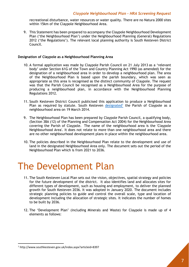recreational disturbance, water resources or water quality. There are no Natura 2000 sites within 15km of the Claypole Neighbourhood Area.

9. This Statement has been prepared to accompany the Claypole Neighbourhood Development Plan ('the Neighbourhood Plan') under the Neighbourhood Planning (General) Regulations 2012 ('the Regulations'). The relevant local planning authority is South Kesteven District Council.

#### **Designation of Claypole as a Neighbourhood Planning Area**

- 10. A formal application was made by Claypole Parish Council on 21 July 2013 as a 'relevant body' under Section 61G of the Town and Country Planning Act 1990 (as amended) for the designation of a neighbourhood area in order to develop a neighbourhood plan. The area of the Neighbourhood Plan is based upon the parish boundary, which was seen as appropriate as this area is recognised as the distinct community of Claypole. The request was that the Parish Council be recognised as a Neighbourhood Area for the purpose of producing a neighbourhood plan, in accordance with the Neighbourhood Planning Regulations 2012.
- 11. South Kesteven District Council publicised this application to produce a Neighbourhood Plan as required by statute. South Kesteven [designated](http://www.southkesteven.gov.uk/index.aspx?articleid=8397)<sup>1</sup> the Parish of Claypole as a neighbourhood area on 19 March 2014.
- 9. The Neighbourhood Plan has been prepared by Claypole Parish Council, a qualifying body, (Section 38A (12) of the Planning and Compensation Act 2004) for the Neighbourhood Area covering the Parish of Claypole. The name of the neighbourhood area is the 'Claypole Neighbourhood Area'. It does not relate to more than one neighbourhood area and there are no other neighbourhood development plans in place within the neighbourhood area.
- 10. The policies described in the Neighbourhood Plan relate to the development and use of land in the designated Neighbourhood Area only. The document sets out the period of the Neighbourhood Plan which is from 2021 to 2036.

### The Development Plan

- 11. The South Kesteven Local Plan sets out the vision, objectives, spatial strategy and policies for the future development of the district. It also identifies land and allocates sites for different types of development, such as housing and employment, to deliver the planned growth for South Kesteven 2036. It was adopted in January 2020. The document includes strategic planning policies to guide and control the overall scale, type and location of development including the allocation of strategic sites. It indicates the number of homes to be built by 2036.
- 12. The 'Development Plan' (including Minerals and Waste) for Claypole is made up of 4 elements as follows:

<sup>1</sup> http://www.southkesteven.gov.uk/index.aspx?articleid=8397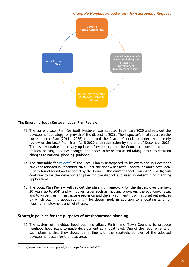

#### **The Emerging South Kesteven Local Plan Review**

- 13. The current Local Plan for South Kesteven was adopted in January 2020 and sets out the development strategy for growth of the district to 2036. The Inspector's final report on the current Local Plan (2011 - 2036) committed the District Council to undertake an early review of the Local Plan from April 2020 with submission by the end of December 2023. The review enables necessary updates of evidence, and the Council to consider whether its local housing need has changed and needs to be re-evaluated taking into consideration changes to national planning guidance.
- 14. The timetable for [review](http://www.southkesteven.gov.uk/index.aspx?articleid=15133)<sup>2</sup> of the Local Plan is anticipated to be examined in December 2023 and adopted in December 2024, until the review has been undertaken and a new Local Plan is found sound and adopted by the Council, the current Local Plan (2011 - 2036) will continue to be the development plan for the district and used in determining planning applications.
- 15. The Local Plan Review will set out the planning framework for the district over the next 20 years up to 2041 and will cover issues such as; housing provision, the economy, retail and town centres, infrastructure provision and the environment. It will also set out policies by which planning applications will be determined, in addition to allocating land for housing, employment and retail uses.

#### **Strategic policies for the purposes of neighbourhood planning**

16. The system of neighbourhood planning allows Parish and Town Councils to produce neighbourhood plans to guide development at a local level. One of the requirements of such plans is that they should be in line with the 'strategic policies' of the adopted development plan for the local area.

<sup>2</sup> http://www.southkesteven.gov.uk/index.aspx?articleid=15133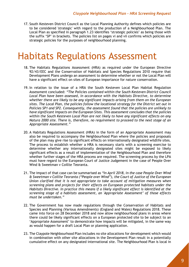17. South Kesteven District Council as the Local Planning Authority defines which policies are to be considered 'strategic' with regard to the production of a Neighbourhood Plan. The Local Plan as specified in paragraph 1.23 identifies 'strategic policies' as being those with the suffix 'SP' in brackets. The policies list on pages vi and vii confirms which policies are strategic policies for the purposes of neighbourhood planning.

### Habitats Regulations Assessment

- 18. The Habitats Regulations Assessment (HRA) as required under the European Directive 92/43/EEC and the Conservation of Habitats and Species Regulations 2010 require that Development Plans undergo an assessment to determine whether or not the Local Plan will have a significant effect on sites of European importance for nature conservation.
- 19. In relation to the issue of a HRA the South Kesteven Local Plan Habitat Regulation Assessment concluded: *"The Policies contained within the South Kesteven District Council Local Plan have been assessed, in accordance with the Habitats Directive, to determine whether there are likely to be any significant impacts arising from them on the European sites. The Local Plan, the policies follow the locational strategy for the District set out in Policies SP1 and SP2. Consequently, the assessment found that the policies are unlikely to have significant impacts on the European Sites. This assessment concludes that the policies within the South Kesteven Local Plan are not likely to have any significant effects on any Natura 2000 site. There is, therefore, no requirement to proceed to the next stage of an Appropriate Assessment."*
- 20. A Habitats Regulations Assessment (HRA) in the form of an Appropriate Assessment may also be required to accompany the Neighbourhood Plan where the policies and proposals of the plan may give rise to significant effects on internationally designated wildlife sites. The process to establish whether a HRA is necessary starts with a screening exercise to determine whether any internationally designated sites might be exposed to likely significant effects as a result of implementation of the Neighbourhood Plan and therefore whether further stages of the HRA process are required. The screening process by the LPA must have regard to the European Court of Justice Judgement in the case of People Over Wind & Sweetman v Coillte Teoranta.
- 21. The impact of that case can be summarised as *"In April 2018, in the case People Over Wind & Sweetman v Coillte Teoranta ("People over Wind"), the Court of Justice of the European Union clarified that it is not appropriate to take account of mitigation measures when screening plans and projects for their effects on European protected habitats under the Habitats Directive. In practice this means if a likely significant effect is identified at the screening stage of a habitats assessment, an 'Appropriate Assessment' of those effects must be undertaken."*
- 22. The Government has now made regulations through the Conservation of Habitats and Species and Planning (Various Amendments) (England and Wales) Regulations 2018. These came into force on 28 December 2018 and now allow neighbourhood plans in areas where there could be likely significant effects on a European protected site to be subject to an 'Appropriate Assessment' to demonstrate how impacts will be mitigated, in the same way as would happen for a draft Local Plan or planning application.
- 23. The Claypole Neighbourhood Plan includes no site allocations for development which would in combination with other site allocations in the Development Plan result in a potentially cumulative effect on any designated international site. The Neighbourhood Plan is local in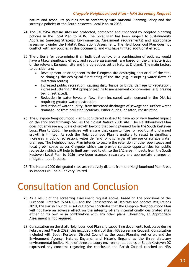nature and scope, its policies are in conformity with National Planning Policy and the strategic policies of the South Kesteven Local Plan to 2036.

- 24. The SAC/SPA/Ramsar sites are protected, conserved and enhanced by adopted planning policies in the Local Plan to 2036. The Local Plan has been subject to Sustainability Appraisal (meeting Strategic Environmental Assessment requirements) and appropriate assessment under the Habitat Regulations Assessment. The Neighbourhood Plan does not conflict with any policies in this document, and will have limited additional effect.
- 25. The criteria for determining if an individual policy, or a combination of policies, would have a likely significant effect, and require assessment, are based on the characteristics of the relevant European site and the objectives set by Natural England. The main factors to consider are:
	- Development on or adjacent to the European site destroying part or all of the site, or changing the ecological functioning of the site (e.g. disrupting water flows or migration routes)
	- Increased public recreation, causing disturbance to birds, damage to vegetation, increased littering / flytipping or leading to management compromises (e.g. grazing being restricted).
	- Reduction in water levels or flow, from increased water demand in the District requiring greater water abstraction
	- Reduction of water quality, from increased discharges of sewage and surface water drainage, or from pollution incidents, either during, or after, construction
- 26. The Claypole Neighbourhood Plan is considered in itself to have no or very limited impact on the Birklands/Bilhaugh SAC as the closest Natura 2000 site. The Neighbourhood Plan does not envisage any scale of growth beyond that being planned for in the South Kesteven Local Plan to 2036. The policies will ensure that opportunities for additional unplanned growth is limited. As such the Neighbourhood Plan is unlikely to result in significant increases in public recreation, water demand, or discharges of sewage or surface water drainage. The Neighbourhood Plan intends to secure the retention of other open space and local green space across Claypole which can provide suitable opportunities for public recreation which will help to limit any need to utilise the SAC area. Impacts from the South Kesteven Local Plan to 2036 have been assessed separately and appropriate changes or mitigation put in place.
- 27. The Natura 2000 designated sites are relatively distant from the Neighbourhood Plan Area, so impacts will be nil or very limited.

### Consultation and Conclusion

- 28. As a result of the screening assessment request above, based on the provisions of the European Directive 92/43/EEC and the Conservation of Habitats and Species Regulations 2010, the Parish Council as set out above concludes that the Claypole Neighbourhood Plan will not have an adverse effect on the integrity of any internationally designated sites either on its own or in combination with any other plans. Therefore, an Appropriate Assessment is not required.
- 29. Consultation on the draft Neighbourhood Plan and supporting documents took place during February and March 2022; this included a draft of this HRA Screening Request. Consultation included with South Kesteven District Council as the Local Planning Authority; and the Environment Agency; Natural England; and Historic England as the three statutory environmental bodies. None of three statutory environmental bodies or South Kesteven DC expressed any concerns regarding the conclusion the Parish Council reached on HRA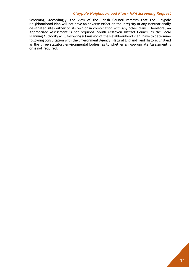Screening. Accordingly, the view of the Parish Council remains that the Claypole Neighbourhood Plan will not have an adverse effect on the integrity of any internationally designated sites either on its own or in combination with any other plans. Therefore, an Appropriate Assessment is not required. South Kesteven District Council as the Local Planning Authority will, following submission of the Neighbourhood Plan, have to determine following consultation with the Environment Agency; Natural England; and Historic England as the three statutory environmental bodies; as to whether an Appropriate Assessment is or is not required.